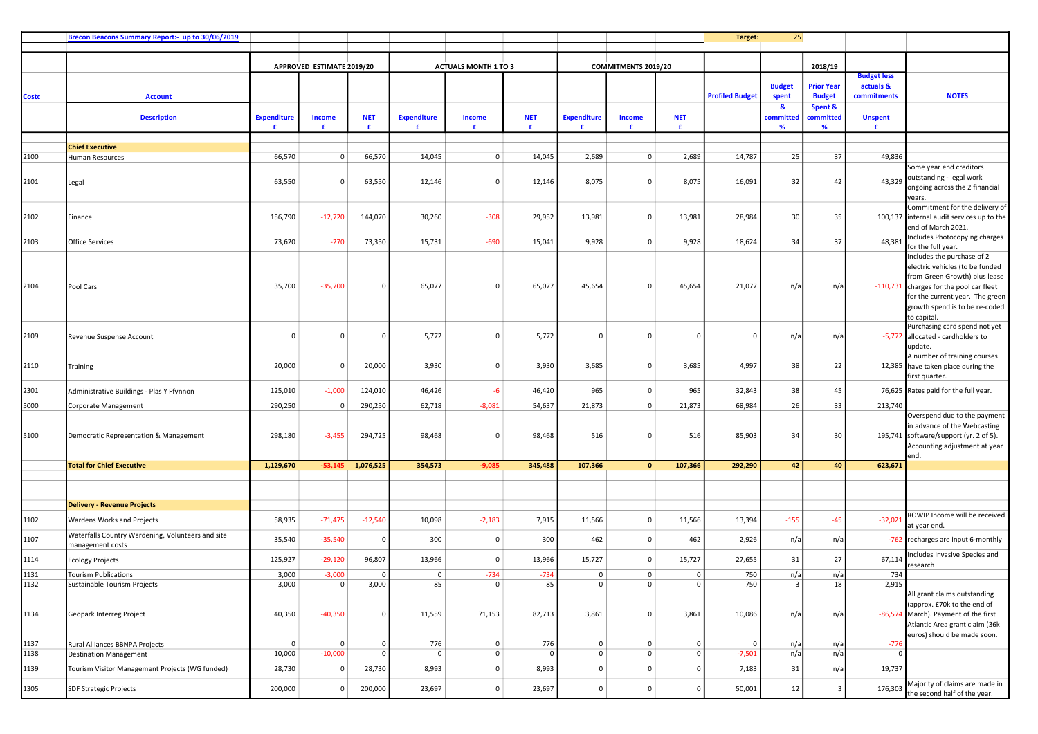|       | Brecon Beacons Summary Report:- up to 30/06/2019                      |                    |                           |                   |                    |                             |              |                      |                         |              | Target:                | 25            |                          |                    |                                                                    |
|-------|-----------------------------------------------------------------------|--------------------|---------------------------|-------------------|--------------------|-----------------------------|--------------|----------------------|-------------------------|--------------|------------------------|---------------|--------------------------|--------------------|--------------------------------------------------------------------|
|       |                                                                       |                    |                           |                   |                    |                             |              |                      |                         |              |                        |               |                          |                    |                                                                    |
|       |                                                                       |                    | APPROVED ESTIMATE 2019/20 |                   |                    | <b>ACTUALS MONTH 1 TO 3</b> |              |                      | COMMITMENTS 2019/20     |              |                        |               | 2018/19                  |                    |                                                                    |
|       |                                                                       |                    |                           |                   |                    |                             |              |                      |                         |              |                        |               |                          | <b>Budget less</b> |                                                                    |
|       |                                                                       |                    |                           |                   |                    |                             |              |                      |                         |              |                        | <b>Budget</b> | <b>Prior Year</b>        | actuals &          |                                                                    |
| Costc | <b>Account</b>                                                        |                    |                           |                   |                    |                             |              |                      |                         |              | <b>Profiled Budget</b> | spent<br>-84  | <b>Budget</b><br>Spent & | commitments        | <b>NOTES</b>                                                       |
|       | <b>Description</b>                                                    | <b>Expenditure</b> | <b>Income</b>             | <b>NET</b>        | <b>Expenditure</b> | <b>Income</b>               | <b>NET</b>   | <b>Expenditure</b>   | <b>Income</b>           | <b>NET</b>   |                        | committed     | :ommitted                | <b>Unspent</b>     |                                                                    |
|       |                                                                       | £                  | £                         | £                 | £                  | £                           | £            | £                    | £                       | £            |                        | %             | %                        | £                  |                                                                    |
|       |                                                                       |                    |                           |                   |                    |                             |              |                      |                         |              |                        |               |                          |                    |                                                                    |
| 2100  | <b>Chief Executive</b><br>Human Resources                             | 66,570             | $\mathbf{0}$              | 66,570            | 14,045             | $\mathbf 0$                 | 14,045       | 2,689                | 0                       | 2,689        | 14,787                 | 25            | 37                       | 49,836             |                                                                    |
|       |                                                                       |                    |                           |                   |                    |                             |              |                      |                         |              |                        |               |                          |                    | Some year end creditors                                            |
| 2101  | Legal                                                                 | 63,550             | $\Omega$                  | 63,550            | 12,146             | $\Omega$                    | 12,146       | 8,075                | $\Omega$                | 8,075        | 16,091                 | 32            | 42                       | 43,329             | outstanding - legal work                                           |
|       |                                                                       |                    |                           |                   |                    |                             |              |                      |                         |              |                        |               |                          |                    | ongoing across the 2 financial                                     |
|       |                                                                       |                    |                           |                   |                    |                             |              |                      |                         |              |                        |               |                          |                    | years.<br>Commitment for the delivery of                           |
| 2102  | Finance                                                               | 156,790            | $-12,720$                 | 144,070           | 30,260             | $-308$                      | 29,952       | 13,981               | 0                       | 13,981       | 28,984                 | 30            | 35                       |                    | 100,137 internal audit services up to the                          |
|       |                                                                       |                    |                           |                   |                    |                             |              |                      |                         |              |                        |               |                          |                    | end of March 2021.                                                 |
| 2103  | Office Services                                                       | 73,620             | $-270$                    | 73,350            | 15,731             | $-690$                      | 15,041       | 9,928                | $\Omega$                | 9,928        | 18,624                 | 34            | 37                       | 48,381             | Includes Photocopying charges                                      |
|       |                                                                       |                    |                           |                   |                    |                             |              |                      |                         |              |                        |               |                          |                    | for the full year.<br>Includes the purchase of 2                   |
|       |                                                                       |                    |                           |                   |                    |                             |              |                      |                         |              |                        |               |                          |                    | electric vehicles (to be funded                                    |
|       |                                                                       |                    |                           |                   |                    |                             |              |                      |                         |              |                        |               |                          |                    | from Green Growth) plus lease                                      |
| 2104  | Pool Cars                                                             | 35,700             | $-35,700$                 | $\Omega$          | 65,077             | $\Omega$                    | 65,077       | 45,654               | $^{\circ}$              | 45,654       | 21,077                 | n/a           | n/a                      |                    | -110,731 charges for the pool car fleet                            |
|       |                                                                       |                    |                           |                   |                    |                             |              |                      |                         |              |                        |               |                          |                    | for the current year. The green                                    |
|       |                                                                       |                    |                           |                   |                    |                             |              |                      |                         |              |                        |               |                          |                    | growth spend is to be re-coded<br>to capital.                      |
|       |                                                                       |                    |                           |                   |                    |                             |              |                      |                         |              |                        |               |                          |                    | Purchasing card spend not yet                                      |
| 2109  | Revenue Suspense Account                                              | $\Omega$           | $\Omega$                  | $\Omega$          | 5,772              | $\Omega$                    | 5,772        | $\Omega$             | $\Omega$                |              | $\Omega$               | n/a           | n/a                      |                    | -5,772 allocated - cardholders to                                  |
|       |                                                                       |                    |                           |                   |                    |                             |              |                      |                         |              |                        |               |                          |                    | update.                                                            |
| 2110  | Training                                                              | 20,000             | $\Omega$                  | 20,000            | 3,930              | $\mathbf 0$                 | 3,930        | 3,685                | $\mathbf 0$             | 3,685        | 4,997                  | 38            | 22                       |                    | A number of training courses<br>12,385 have taken place during the |
|       |                                                                       |                    |                           |                   |                    |                             |              |                      |                         |              |                        |               |                          |                    | first quarter.                                                     |
| 2301  | Administrative Buildings - Plas Y Ffynnon                             | 125,010            | $-1,000$                  | 124,010           | 46,426             | -6                          | 46,420       | 965                  | $\mathbf{0}$            | 965          | 32,843                 | 38            | 45                       |                    | 76,625 Rates paid for the full year.                               |
| 5000  | Corporate Management                                                  | 290,250            | $\mathbf 0$               | 290,250           | 62,718             | $-8,081$                    | 54,637       | 21,873               | 0                       | 21,873       | 68,984                 | 26            | 33                       | 213,740            |                                                                    |
|       |                                                                       |                    |                           |                   |                    |                             |              |                      |                         |              |                        |               |                          |                    | Overspend due to the payment                                       |
|       |                                                                       |                    |                           |                   |                    |                             |              |                      |                         |              |                        |               |                          |                    | in advance of the Webcasting                                       |
| 5100  | Democratic Representation & Management                                | 298,180            | $-3,455$                  | 294,725           | 98,468             | 0                           | 98,468       | 516                  | $\mathbf{0}$            | 516          | 85,903                 | 34            | 30                       |                    | 195,741 software/support (yr. 2 of 5).                             |
|       |                                                                       |                    |                           |                   |                    |                             |              |                      |                         |              |                        |               |                          |                    | Accounting adjustment at year<br>end.                              |
|       | <b>Total for Chief Executive</b>                                      | 1,129,670          | $-53,145$                 | 1,076,525         | 354,573            | $-9,085$                    | 345,488      | 107,366              | $\mathbf{o}$            | 107,366      | 292,290                | 42            | 40                       | 623,671            |                                                                    |
|       |                                                                       |                    |                           |                   |                    |                             |              |                      |                         |              |                        |               |                          |                    |                                                                    |
|       |                                                                       |                    |                           |                   |                    |                             |              |                      |                         |              |                        |               |                          |                    |                                                                    |
|       | <b>Delivery - Revenue Projects</b>                                    |                    |                           |                   |                    |                             |              |                      |                         |              |                        |               |                          |                    |                                                                    |
| 1102  | Wardens Works and Projects                                            | 58,935             | $-71,475$                 | $-12,540$         | 10,098             | $-2,183$                    | 7,915        | 11,566               | 0                       | 11,566       | 13,394                 | $-155$        | $-45$                    | $-32,02$           | ROWIP Income will be received                                      |
|       |                                                                       |                    |                           |                   |                    |                             |              |                      |                         |              |                        |               |                          |                    | at year end.                                                       |
| 1107  | Waterfalls Country Wardening, Volunteers and site<br>management costs | 35,540             | $-35,540$                 | $\overline{0}$    | 300                | $\mathbf 0$                 | 300          | 462                  | 0                       | 462          | 2,926                  | n/a           | n/a                      | $-762$             | recharges are input 6-monthly                                      |
|       |                                                                       |                    |                           |                   |                    | $\Omega$                    |              |                      | $\Omega$                |              | 27,655                 | 31            | 27                       | 67,114             | Includes Invasive Species and                                      |
| 1114  | <b>Ecology Projects</b>                                               | 125,927            | $-29,120$                 | 96,807            | 13,966             |                             | 13,966       | 15,727               |                         | 15,727       |                        |               |                          |                    | research                                                           |
| 1131  | <b>Tourism Publications</b>                                           | 3,000<br>3,000     | $-3,000$<br>$\Omega$      | $\Omega$<br>3,000 | $\Omega$<br>85     | $-734$<br>$\Omega$          | $-734$<br>85 | $\Omega$<br>$\Omega$ | $\mathbf 0$<br>$\Omega$ | $\Omega$     | 750<br>750             | n/a           | n/a<br>18                | 734<br>2,915       |                                                                    |
| 1132  | Sustainable Tourism Projects                                          |                    |                           |                   |                    |                             |              |                      |                         |              |                        |               |                          |                    | All grant claims outstanding                                       |
|       |                                                                       |                    |                           |                   |                    |                             |              |                      |                         |              |                        |               |                          |                    | (approx. £70k to the end of                                        |
| 1134  | Geopark Interreg Project                                              | 40,350             | $-40,350$                 | $\circ$           | 11,559             | 71,153                      | 82,713       | 3,861                | $\mathsf 0$             | 3,861        | 10,086                 | n/a           | n/a                      |                    | -86,574 March). Payment of the first                               |
|       |                                                                       |                    |                           |                   |                    |                             |              |                      |                         |              |                        |               |                          |                    | Atlantic Area grant claim (36k                                     |
| 1137  | Rural Alliances BBNPA Projects                                        | 0                  | $\mathbf 0$               | $\mathbf 0$       | 776                | $\mathbf 0$                 | 776          | $\mathbf{0}$         | $\mathsf 0$             | $\Omega$     | $\Omega$               | n/a           | n/a                      | $-776$             | euros) should be made soon.                                        |
| 1138  | <b>Destination Management</b>                                         | 10,000             | $-10,000$                 | $\Omega$          | $\mathbf 0$        | $\mathbf 0$                 | $\Omega$     | $\mathbf{0}$         | $\mathsf 0$             |              | $-7,501$               | n/a           | n/a                      |                    |                                                                    |
| 1139  | Tourism Visitor Management Projects (WG funded)                       | 28,730             | $\mathbf 0$               | 28,730            | 8,993              | $\mathsf 0$                 | 8,993        | $\mathbf{0}$         | 0                       | $\Omega$     | 7,183                  | 31            | n/a                      | 19,737             |                                                                    |
|       |                                                                       |                    |                           |                   |                    |                             |              |                      |                         |              |                        |               |                          |                    | Majority of claims are made in                                     |
| 1305  | <b>SDF Strategic Projects</b>                                         | 200,000            | $\mathbf 0$               | 200,000           | 23,697             | $\mathsf 0$                 | 23,697       | $\overline{0}$       | $\mathsf 0$             | $\mathbf{0}$ | 50,001                 | 12            | $\overline{\mathbf{3}}$  | 176,303            | the second half of the year.                                       |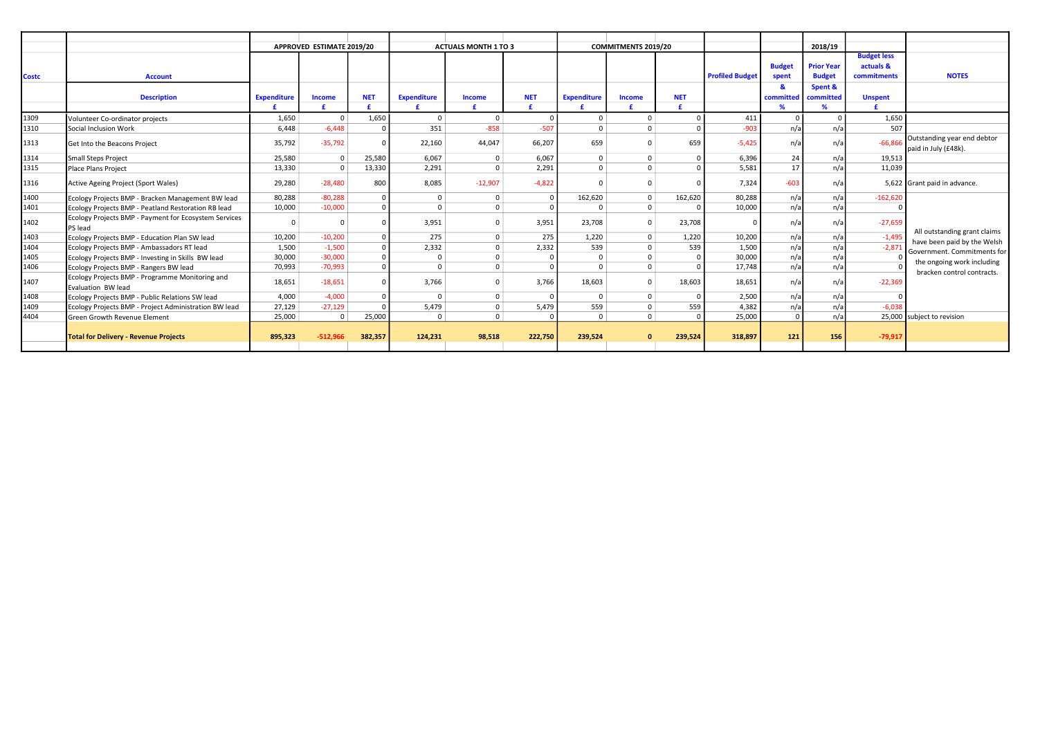|              |                                                                       |                    | APPROVED ESTIMATE 2019/20 |            |                    | <b>ACTUALS MONTH 1 TO 3</b> |            |                    | <b>COMMITMENTS 2019/20</b> |            |                        |               | 2018/19           |                    |                                                     |
|--------------|-----------------------------------------------------------------------|--------------------|---------------------------|------------|--------------------|-----------------------------|------------|--------------------|----------------------------|------------|------------------------|---------------|-------------------|--------------------|-----------------------------------------------------|
|              |                                                                       |                    |                           |            |                    |                             |            |                    |                            |            |                        |               |                   | <b>Budget less</b> |                                                     |
|              |                                                                       |                    |                           |            |                    |                             |            |                    |                            |            |                        | <b>Budget</b> | <b>Prior Year</b> | actuals &          |                                                     |
| <b>Costc</b> | <b>Account</b>                                                        |                    |                           |            |                    |                             |            |                    |                            |            | <b>Profiled Budget</b> | spent         | <b>Budget</b>     | commitments        | <b>NOTES</b>                                        |
|              |                                                                       |                    |                           |            |                    |                             |            |                    |                            |            |                        |               | Spent &           |                    |                                                     |
|              | <b>Description</b>                                                    | <b>Expenditure</b> | Income                    | <b>NET</b> | <b>Expenditure</b> | <b>Income</b>               | <b>NET</b> | <b>Expenditure</b> | Income                     | <b>NET</b> |                        | committed     | committed         | <b>Unspent</b>     |                                                     |
|              |                                                                       |                    |                           |            |                    |                             |            |                    |                            |            |                        |               |                   |                    |                                                     |
| 1309         | Volunteer Co-ordinator projects                                       | 1,650              | $\Omega$                  | 1,650      | $\Omega$           | $\Omega$                    |            | <sup>0</sup>       | $\Omega$                   |            | 411                    |               | $\Omega$          | 1,650              |                                                     |
| 1310         | Social Inclusion Work                                                 | 6.448              | $-6.448$                  |            | 351                | $-858$                      | $-507$     | $\Omega$           | $\Omega$                   |            | $-903$                 | $n/\tilde{c}$ | n/a               | 507                |                                                     |
| 1313         | Get Into the Beacons Project                                          | 35,792             | $-35,792$                 |            | 22,160             | 44,047                      | 66,207     | 659                |                            | 659        | $-5.425$               | n/i           | n/a               | $-66.866$          | Outstanding year end debtor<br>paid in July (£48k). |
| 1314         | Small Steps Project                                                   | 25,580             | $\Omega$                  | 25,580     | 6.067              | $\Omega$                    | 6,067      | $\Omega$           | $\Omega$                   |            | 6.396                  | 24            | n/a               | 19,513             |                                                     |
| 1315         | Place Plans Project                                                   | 13,330             | $\Omega$                  | 13,330     | 2,291              | $\Omega$                    | 2,291      | $\Omega$           |                            |            | 5,581                  | 17            | n/a               | 11,039             |                                                     |
| 1316         | Active Ageing Project (Sport Wales)                                   | 29,280             | $-28.480$                 | 800        | 8,085              | $-12,907$                   | $-4,822$   |                    |                            |            | 7,324                  | $-603$        | n/a               |                    | 5,622 Grant paid in advance.                        |
| 1400         | Ecology Projects BMP - Bracken Management BW lead                     | 80,288             | $-80,288$                 |            | $\Omega$           | $\Omega$                    | $\Omega$   | 162,620            | $\Omega$                   | 162,620    | 80,288                 | $n/\tilde{c}$ | n/a               | $-162,620$         |                                                     |
| 1401         | Ecology Projects BMP - Peatland Restoration RB lead                   | 10,000             | $-10,000$                 |            |                    | $\Omega$                    |            |                    | $\Omega$                   |            | 10,000                 | $n/\tilde{c}$ | n/a               |                    |                                                     |
| 1402         | Ecology Projects BMP - Payment for Ecosystem Services<br>PS lead      | $\Omega$           |                           |            | 3,951              | $\Omega$                    | 3,951      | 23,708             |                            | 23,708     |                        | n/i           | n/a               | $-27,659$          | All outstanding grant claims                        |
| 1403         | Ecology Projects BMP - Education Plan SW lead                         | 10,200             | $-10,200$                 |            | 275                | $\Omega$                    | 275        | 1,220              | $\Omega$                   | 1,220      | 10,200                 | $n/\tilde{c}$ | n/a               | $-1,495$           | have been paid by the Welsh                         |
| 1404         | Ecology Projects BMP - Ambassadors RT lead                            | 1,500              | $-1,500$                  |            | 2,332              | $\Omega$                    | 2,332      | 539                |                            | 539        | 1.500                  | n/a           | n/a               | $-2,871$           | Government. Commitments for                         |
| 1405         | Ecology Projects BMP - Investing in Skills BW lead                    | 30,000             | $-30,000$                 |            |                    |                             |            | $\Omega$           |                            |            | 30,000                 | n/a           | n/a               |                    | the ongoing work including                          |
| 1406         | Ecology Projects BMP - Rangers BW lead                                | 70,993             | $-70,993$                 |            | $\Omega$           | $\Omega$                    | $\Omega$   | $\Omega$           | $\Omega$                   |            | 17.748                 | $n/\tilde{c}$ | n/a               |                    | bracken control contracts.                          |
| 1407         | Ecology Projects BMP - Programme Monitoring and<br>Evaluation BW lead | 18,651             | $-18,651$                 |            | 3,766              | $\Omega$                    | 3,766      | 18,603             |                            | 18,603     | 18,651                 | $n/\tilde{c}$ | n/a               | $-22,369$          |                                                     |
| 1408         | Ecology Projects BMP - Public Relations SW lead                       | 4,000              | $-4.000$                  |            | $\Omega$           | $\mathbf 0$                 |            | $\Omega$           | $\Omega$                   |            | 2,500                  | n/a           | n/a               |                    |                                                     |
| 1409         | Ecology Projects BMP - Project Administration BW lead                 | 27,129             | $-27,129$                 |            | 5,479              | $\Omega$                    | 5,479      | 559                |                            | 559        | 4.382                  | $n/\tilde{c}$ | n/a               | $-6.038$           |                                                     |
| 4404         | <b>Green Growth Revenue Element</b>                                   | 25,000             | $\Omega$                  | 25,000     | $\Omega$           | $\Omega$                    |            | $\Omega$           | $\Omega$                   |            | 25,000                 | $\Omega$      | n/a               |                    | 25,000 subject to revision                          |
|              | <b>Total for Delivery - Revenue Projects</b>                          | 895,323            | $-512.966$                | 382,357    | 124,231            | 98,518                      | 222,750    | 239,524            | $\Omega$                   | 239,524    | 318,897                | 121           | 156               | $-79,917$          |                                                     |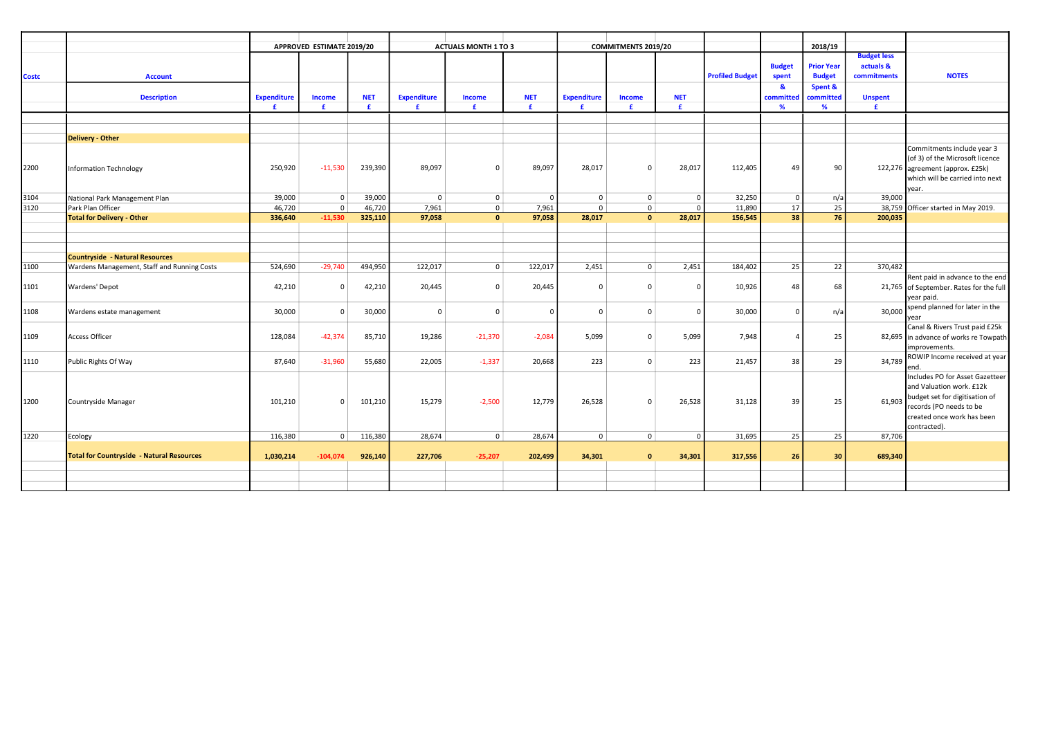|              |                                                    |                    | APPROVED ESTIMATE 2019/20 |            |                    | <b>ACTUALS MONTH 1 TO 3</b> |                |                    | <b>COMMITMENTS 2019/20</b> |            |                        |                | 2018/19           |                                 |                                         |
|--------------|----------------------------------------------------|--------------------|---------------------------|------------|--------------------|-----------------------------|----------------|--------------------|----------------------------|------------|------------------------|----------------|-------------------|---------------------------------|-----------------------------------------|
|              |                                                    |                    |                           |            |                    |                             |                |                    |                            |            |                        | <b>Budget</b>  | <b>Prior Year</b> | <b>Budget less</b><br>actuals & |                                         |
| <b>Costc</b> | <b>Account</b>                                     |                    |                           |            |                    |                             |                |                    |                            |            | <b>Profiled Budget</b> | spent          | <b>Budget</b>     | commitments                     | <b>NOTES</b>                            |
|              |                                                    |                    |                           |            |                    |                             |                |                    |                            |            |                        | <b>R</b>       | Spent &           |                                 |                                         |
|              | <b>Description</b>                                 | <b>Expenditure</b> | Income                    | <b>NET</b> | <b>Expenditure</b> | Income                      | <b>NET</b>     | <b>Expenditure</b> | <b>Income</b>              | <b>NET</b> |                        | committed      | committed         | <b>Unspent</b>                  |                                         |
|              |                                                    | £                  | £                         | £          | £                  | £                           | £              | £                  | £.                         | £          |                        | %              | $\%$              | £.                              |                                         |
|              |                                                    |                    |                           |            |                    |                             |                |                    |                            |            |                        |                |                   |                                 |                                         |
|              |                                                    |                    |                           |            |                    |                             |                |                    |                            |            |                        |                |                   |                                 |                                         |
|              | <b>Delivery - Other</b>                            |                    |                           |            |                    |                             |                |                    |                            |            |                        |                |                   |                                 |                                         |
|              |                                                    |                    |                           |            |                    |                             |                |                    |                            |            |                        |                |                   |                                 | Commitments include year 3              |
|              |                                                    |                    |                           |            |                    |                             |                |                    |                            |            |                        |                |                   |                                 | (of 3) of the Microsoft licence         |
| 2200         | Information Technology                             | 250,920            | $-11,530$                 | 239,390    | 89,097             | $\Omega$                    | 89,097         | 28,017             | $\Omega$                   | 28,017     | 112,405                | 49             | 90                |                                 | 122,276 agreement (approx. £25k)        |
|              |                                                    |                    |                           |            |                    |                             |                |                    |                            |            |                        |                |                   |                                 | which will be carried into next         |
|              |                                                    |                    | $\mathbf 0$               | 39,000     | $\mathbf 0$        |                             | $\overline{0}$ | $\mathbf{0}$       | $\mathbf{0}$               | $\Omega$   | 32,250                 | $^{\circ}$     |                   |                                 | vear.                                   |
| 3104<br>3120 | National Park Management Plan<br>Park Plan Officer | 39,000<br>46,720   | $\Omega$                  | 46,720     | 7,961              | $\mathbf 0$<br>$\mathbf 0$  | 7,961          | $\Omega$           | $\mathbf 0$                | $\Omega$   | 11,890                 | 17             | n/a<br>25         | 39,000                          | 38,759 Officer started in May 2019.     |
|              | <b>Total for Delivery - Other</b>                  | 336,640            | $-11,530$                 | 325,110    | 97,058             | $\mathbf{0}$                | 97,058         | 28,017             | $\mathbf{0}$               | 28,017     | 156,545                | 38             | 76                | 200,035                         |                                         |
|              |                                                    |                    |                           |            |                    |                             |                |                    |                            |            |                        |                |                   |                                 |                                         |
|              |                                                    |                    |                           |            |                    |                             |                |                    |                            |            |                        |                |                   |                                 |                                         |
|              |                                                    |                    |                           |            |                    |                             |                |                    |                            |            |                        |                |                   |                                 |                                         |
|              | Countryside - Natural Resources                    |                    |                           |            |                    |                             |                |                    |                            |            |                        |                |                   |                                 |                                         |
| 1100         | Wardens Management, Staff and Running Costs        | 524,690            | $-29,740$                 | 494,950    | 122,017            | $\mathbf 0$                 | 122,017        | 2,451              | $\mathbf{0}$               | 2,451      | 184,402                | 25             | 22                | 370,482                         |                                         |
|              |                                                    |                    |                           |            |                    |                             |                |                    |                            |            |                        |                |                   |                                 | Rent paid in advance to the end         |
| 1101         | Wardens' Depot                                     | 42,210             | $\Omega$                  | 42,210     | 20,445             | $\mathbf 0$                 | 20,445         | $\Omega$           | $\Omega$                   |            | 10,926                 | 48             | 68                |                                 | 21,765 of September. Rates for the full |
|              |                                                    |                    |                           |            |                    |                             |                |                    |                            |            |                        |                |                   |                                 | year paid.                              |
| 1108         | Wardens estate management                          | 30,000             | $\mathbf 0$               | 30,000     | $\overline{0}$     | $\Omega$                    | $\overline{0}$ | $\Omega$           | $\mathbf{0}$               | $\Omega$   | 30,000                 | $\overline{0}$ | n/a               | 30,000                          | spend planned for later in the          |
|              |                                                    |                    |                           |            |                    |                             |                |                    |                            |            |                        |                |                   |                                 | Canal & Rivers Trust paid £25k          |
| 1109         | <b>Access Officer</b>                              | 128,084            | $-42,374$                 | 85,710     | 19,286             | $-21,370$                   | $-2,084$       | 5,099              | $\Omega$                   | 5,099      | 7,948                  | $\Delta$       | 25                |                                 | 82,695 in advance of works re Towpath   |
|              |                                                    |                    |                           |            |                    |                             |                |                    |                            |            |                        |                |                   |                                 | improvements.                           |
|              |                                                    |                    |                           |            |                    |                             |                |                    |                            |            |                        |                |                   |                                 | ROWIP Income received at year           |
| 1110         | Public Rights Of Way                               | 87,640             | $-31,960$                 | 55,680     | 22,005             | $-1,337$                    | 20,668         | 223                | $\mathbf{0}$               | 223        | 21,457                 | 38             | 29                | 34,789                          | ∍nd                                     |
|              |                                                    |                    |                           |            |                    |                             |                |                    |                            |            |                        |                |                   |                                 | Includes PO for Asset Gazetteer         |
|              |                                                    |                    |                           |            |                    |                             |                |                    |                            |            |                        |                |                   |                                 | and Valuation work. £12k                |
| 1200         | Countryside Manager                                | 101,210            | $\Omega$                  | 101,210    | 15,279             | $-2,500$                    | 12,779         | 26,528             | $\Omega$                   | 26,528     | 31,128                 | 39             | 25                | 61,903                          | budget set for digitisation of          |
|              |                                                    |                    |                           |            |                    |                             |                |                    |                            |            |                        |                |                   |                                 | records (PO needs to be                 |
|              |                                                    |                    |                           |            |                    |                             |                |                    |                            |            |                        |                |                   |                                 | created once work has been              |
|              |                                                    |                    |                           |            |                    |                             |                |                    |                            |            |                        |                |                   |                                 | contracted).                            |
| 1220         | Ecology                                            | 116,380            | $\overline{0}$            | 116,380    | 28,674             | $\overline{0}$              | 28,674         | $\mathbf{0}$       | $\mathbf 0$                | $\circ$    | 31,695                 | 25             | 25                | 87,706                          |                                         |
|              | <b>Total for Countryside - Natural Resources</b>   | 1,030,214          | $-104,074$                | 926,140    | 227,706            | $-25,207$                   | 202,499        | 34,301             | $\Omega$                   | 34,301     | 317,556                | 26             | 30                | 689,340                         |                                         |
|              |                                                    |                    |                           |            |                    |                             |                |                    |                            |            |                        |                |                   |                                 |                                         |
|              |                                                    |                    |                           |            |                    |                             |                |                    |                            |            |                        |                |                   |                                 |                                         |
|              |                                                    |                    |                           |            |                    |                             |                |                    |                            |            |                        |                |                   |                                 |                                         |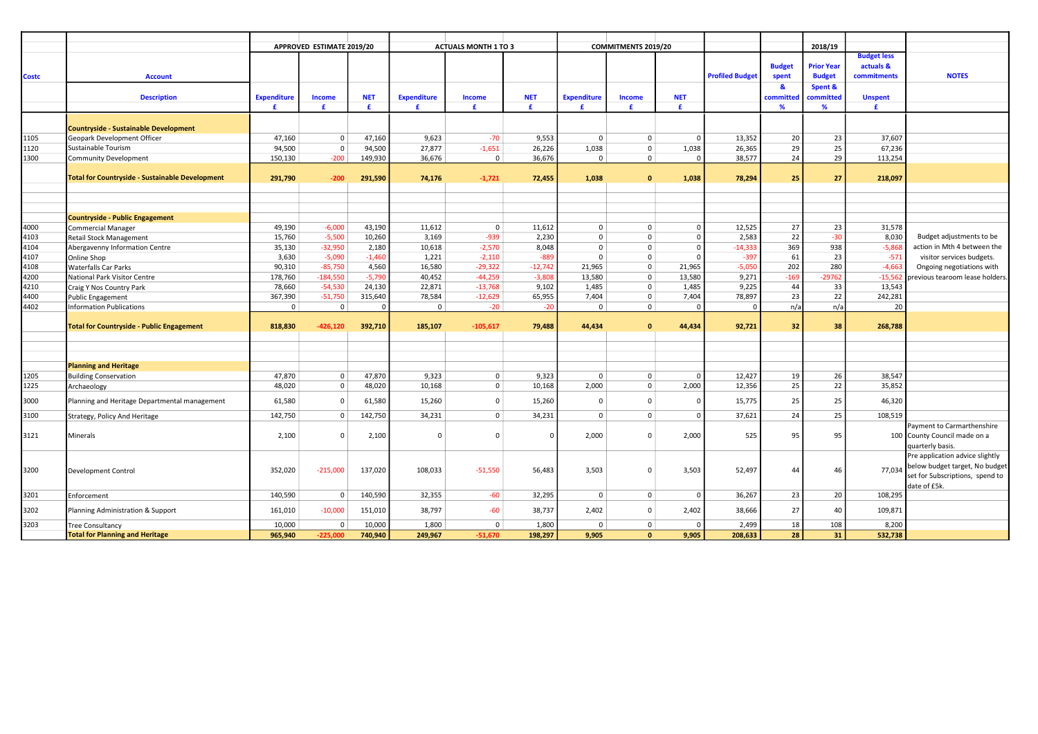|              |                                                        |                    | APPROVED ESTIMATE 2019/20  |            |                    | <b>ACTUALS MONTH 1 TO 3</b> |                |                    | COMMITMENTS 2019/20        |                   |                        |               | 2018/19           |                    |                                 |
|--------------|--------------------------------------------------------|--------------------|----------------------------|------------|--------------------|-----------------------------|----------------|--------------------|----------------------------|-------------------|------------------------|---------------|-------------------|--------------------|---------------------------------|
|              |                                                        |                    |                            |            |                    |                             |                |                    |                            |                   |                        |               |                   | <b>Budget less</b> |                                 |
|              |                                                        |                    |                            |            |                    |                             |                |                    |                            |                   |                        | <b>Budget</b> | <b>Prior Year</b> | actuals &          |                                 |
| <b>Costc</b> | <b>Account</b>                                         |                    |                            |            |                    |                             |                |                    |                            |                   | <b>Profiled Budget</b> | spent         | <b>Budget</b>     | commitments        | <b>NOTES</b>                    |
|              |                                                        |                    |                            |            |                    |                             |                |                    |                            |                   |                        | -8            | Spent &           |                    |                                 |
|              | <b>Description</b>                                     | <b>Expenditure</b> | <b>Income</b>              | <b>NET</b> | <b>Expenditure</b> | <b>Income</b>               | <b>NET</b>     | <b>Expenditure</b> | <b>Income</b>              | <b>NET</b>        |                        | committed     | committed         | <b>Unspent</b>     |                                 |
|              |                                                        | £                  | £                          | £          | £                  | £                           | £.             | £                  | £                          | £                 |                        | %             | %                 | £                  |                                 |
|              |                                                        |                    |                            |            |                    |                             |                |                    |                            |                   |                        |               |                   |                    |                                 |
|              | <b>Countryside - Sustainable Development</b>           |                    |                            |            |                    |                             |                |                    |                            |                   |                        |               |                   |                    |                                 |
| 1105         | Geopark Development Officer                            | 47,160             | $\mathbf 0$<br>$\mathbf 0$ | 47,160     | 9,623<br>27,877    | $-70$                       | 9,553          | $\Omega$           | $\mathbf{0}$               | $\Omega$          | 13,352                 | 20            | 23                | 37,607             |                                 |
| 1120         | Sustainable Tourism                                    | 94,500             | $-200$                     | 94,500     | 36.676             | $-1,651$<br>$\mathbf 0$     | 26,226         | 1,038<br>$\Omega$  | $\mathbf 0$<br>$\mathbf 0$ | 1,038<br>$\Omega$ | 26,365                 | 29<br>24      | 25<br>29          | 67,236             |                                 |
| 1300         | Community Development                                  | 150,130            |                            | 149,930    |                    |                             | 36,676         |                    |                            |                   | 38,577                 |               |                   | 113,254            |                                 |
|              | <b>Total for Countryside - Sustainable Development</b> | 291,790            | $-200$                     | 291,590    | 74,176             | $-1,721$                    | 72,455         | 1,038              | $\mathbf{0}$               | 1,038             | 78,294                 | 25            | 27                | 218,097            |                                 |
|              |                                                        |                    |                            |            |                    |                             |                |                    |                            |                   |                        |               |                   |                    |                                 |
|              |                                                        |                    |                            |            |                    |                             |                |                    |                            |                   |                        |               |                   |                    |                                 |
|              |                                                        |                    |                            |            |                    |                             |                |                    |                            |                   |                        |               |                   |                    |                                 |
|              | <b>Countryside - Public Engagement</b>                 |                    |                            |            |                    |                             |                |                    |                            |                   |                        |               |                   |                    |                                 |
| 4000         | <b>Commercial Manager</b>                              | 49,190             | $-6,000$                   | 43,190     | 11,612             | $\mathbf 0$                 | 11,612         | $\mathbf{0}$       | $\mathbf 0$                | $\Omega$          | 12,525                 | 27            | 23                | 31,578             |                                 |
| 4103         | Retail Stock Management                                | 15,760             | $-5,500$                   | 10,260     | 3,169              | $-939$                      | 2,230          | $\mathbf 0$        | $\Omega$                   | $\Omega$          | 2,583                  | 22            | $-30$             | 8,030              | Budget adjustments to be        |
| 4104         | Abergavenny Information Centre                         | 35,130             | $-32,950$                  | 2,180      | 10,618             | $-2,570$                    | 8,048          | $\Omega$           | $\Omega$                   | $\Omega$          | $-14,333$              | 369           | 938               | $-5,868$           | action in Mth 4 between the     |
| 4107         | Online Shop                                            | 3,630              | $-5,090$                   | $-1,460$   | 1,221              | $-2,110$                    | $-889$         | $\mathbf{0}$       | $\Omega$                   | $\Omega$          | $-397$                 | 61            | 23                | $-571$             | visitor services budgets.       |
| 4108         | <b>Waterfalls Car Parks</b>                            | 90,310             | $-85,750$                  | 4,560      | 16,580             | $-29,322$                   | $-12,742$      | 21,965             | $\Omega$                   | 21,965            | $-5,050$               | 202           | 280               | $-4,663$           | Ongoing negotiations with       |
| 4200         | National Park Visitor Centre                           | 178,760            | $-184,550$                 | $-5,790$   | 40,452             | $-44,259$                   | $-3,808$       | 13,580             | $\mathbf 0$                | 13,580            | 9,271                  | $-169$        | $-29762$          | $-15,562$          | revious tearoom lease holders.  |
| 4210         | Craig Y Nos Country Park                               | 78,660             | $-54,530$                  | 24,130     | 22,871             | $-13,768$                   | 9,102          | 1,485              | $\Omega$                   | 1,485             | 9,225                  | 44            | 33                | 13,543             |                                 |
| 4400         | <b>Public Engagement</b>                               | 367,390            | $-51,750$                  | 315,640    | 78,584             | $-12,629$                   | 65,955         | 7,404              | $\mathbf{0}$               | 7,404             | 78,897                 | 23            | 22                | 242,281            |                                 |
| 4402         | <b>Information Publications</b>                        | $\mathbf 0$        | $\mathbf 0$                | $\Omega$   | $\mathbf 0$        | $-20$                       | $-20$          | $\mathbf 0$        | $\mathbf{0}$               | $\Omega$          | 0                      | n/a           | n/a               | 20                 |                                 |
|              | <b>Total for Countryside - Public Engagement</b>       | 818,830            | $-426,120$                 | 392,710    | 185,107            | $-105,617$                  | 79,488         | 44,434             | $\Omega$                   | 44,434            | 92,721                 | 32            | 38                | 268,788            |                                 |
|              |                                                        |                    |                            |            |                    |                             |                |                    |                            |                   |                        |               |                   |                    |                                 |
|              |                                                        |                    |                            |            |                    |                             |                |                    |                            |                   |                        |               |                   |                    |                                 |
|              |                                                        |                    |                            |            |                    |                             |                |                    |                            |                   |                        |               |                   |                    |                                 |
|              | <b>Planning and Heritage</b>                           |                    |                            |            |                    |                             |                |                    |                            |                   |                        |               |                   |                    |                                 |
| 1205         | <b>Building Conservation</b>                           | 47,870             | $\mathbf 0$                | 47,870     | 9,323              | $\mathbf 0$                 | 9,323          | $\Omega$           | 0                          | $\Omega$          | 12,427                 | 19            | 26                | 38,547             |                                 |
| 1225         | Archaeology                                            | 48,020             | $\mathbf 0$                | 48,020     | 10,168             | $\mathbf 0$                 | 10,168         | 2,000              | $\mathbf 0$                | 2,000             | 12,356                 | 25            | 22                | 35,852             |                                 |
| 3000         | Planning and Heritage Departmental management          | 61,580             | $\mathbf 0$                | 61,580     | 15,260             | $\mathbf 0$                 | 15,260         | $\Omega$           | $\Omega$                   | $\Omega$          | 15,775                 | 25            | 25                | 46,320             |                                 |
| 3100         | Strategy, Policy And Heritage                          | 142,750            | $\mathbf 0$                | 142,750    | 34,231             | $\mathbf 0$                 | 34,231         | $\Omega$           | $\Omega$                   | $\Omega$          | 37,621                 | 24            | 25                | 108,519            |                                 |
|              |                                                        |                    |                            |            |                    |                             |                |                    |                            |                   |                        |               |                   |                    | Payment to Carmarthenshire      |
| 3121         | Minerals                                               | 2,100              | $^{\circ}$                 | 2,100      | $\Omega$           | $\Omega$                    | $\overline{0}$ | 2,000              | $\Omega$                   | 2,000             | 525                    | 95            | 95                |                    | 100 County Council made on a    |
|              |                                                        |                    |                            |            |                    |                             |                |                    |                            |                   |                        |               |                   |                    | quarterly basis.                |
|              |                                                        |                    |                            |            |                    |                             |                |                    |                            |                   |                        |               |                   |                    | Pre application advice slightly |
| 3200         | Development Control                                    | 352,020            | $-215,000$                 | 137,020    | 108,033            | $-51,550$                   | 56,483         | 3,503              | $\Omega$                   | 3,503             | 52,497                 | 44            | 46                | 77,034             | below budget target, No budget  |
|              |                                                        |                    |                            |            |                    |                             |                |                    |                            |                   |                        |               |                   |                    | set for Subscriptions, spend to |
|              |                                                        |                    |                            |            |                    |                             |                |                    |                            |                   |                        |               |                   |                    | date of £5k.                    |
| 3201         | Enforcement                                            | 140,590            | $\mathbf 0$                | 140,590    | 32,355             | $-60$                       | 32,295         | $\mathbf 0$        | $\mathbf 0$                | $\mathbf 0$       | 36,267                 | 23            | 20                | 108,295            |                                 |
| 3202         | Planning Administration & Support                      | 161,010            | $-10,000$                  | 151,010    | 38,797             | $-60$                       | 38,737         | 2,402              | $\Omega$                   | 2,402             | 38,666                 | 27            | 40                | 109,871            |                                 |
| 3203         | <b>Tree Consultancy</b>                                | 10,000             | $\mathbf 0$                | 10,000     | 1,800              | $\mathbf 0$                 | 1,800          | $^{\circ}$         | $\mathbf 0$                | $\Omega$          | 2,499                  | 18            | 108               | 8,200              |                                 |
|              | <b>Total for Planning and Heritage</b>                 | 965,940            | $-225.000$                 | 740,940    | 249,967            | $-51,670$                   | 198,297        | 9,905              | $\mathbf{0}$               | 9,905             | 208,633                | 28            | 31                | 532,738            |                                 |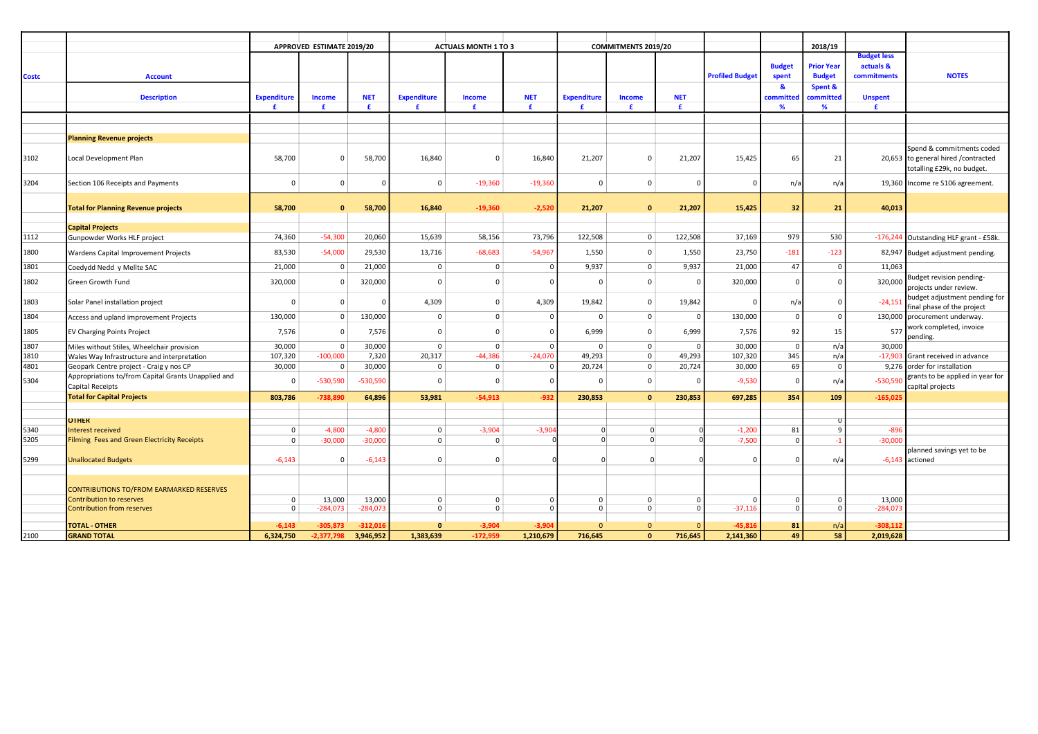|              |                                                                                |                    | APPROVED ESTIMATE 2019/20 |            |                    | <b>ACTUALS MONTH 1 TO 3</b> |                |                    | COMMITMENTS 2019/20 |              |                        |               | 2018/19           |                    |                                                                                                 |
|--------------|--------------------------------------------------------------------------------|--------------------|---------------------------|------------|--------------------|-----------------------------|----------------|--------------------|---------------------|--------------|------------------------|---------------|-------------------|--------------------|-------------------------------------------------------------------------------------------------|
|              |                                                                                |                    |                           |            |                    |                             |                |                    |                     |              |                        |               |                   | <b>Budget less</b> |                                                                                                 |
|              |                                                                                |                    |                           |            |                    |                             |                |                    |                     |              |                        | <b>Budget</b> | <b>Prior Year</b> | actuals &          |                                                                                                 |
| <b>Costc</b> | <b>Account</b>                                                                 |                    |                           |            |                    |                             |                |                    |                     |              | <b>Profiled Budget</b> | spent         | <b>Budget</b>     | commitments        | <b>NOTES</b>                                                                                    |
|              |                                                                                |                    |                           |            |                    |                             |                |                    |                     |              |                        | ୍ୟୁ           | Spent &           |                    |                                                                                                 |
|              | <b>Description</b>                                                             | <b>Expenditure</b> | <b>Income</b>             | <b>NET</b> | <b>Expenditure</b> | <b>Income</b>               | <b>NET</b>     | <b>Expenditure</b> | <b>Income</b>       | <b>NET</b>   |                        | committed     | committec         | <b>Unspent</b>     |                                                                                                 |
|              |                                                                                | £                  | £                         | £          | £.                 | £                           | £              | £.                 | £                   | £            |                        | %             | %                 | £                  |                                                                                                 |
|              |                                                                                |                    |                           |            |                    |                             |                |                    |                     |              |                        |               |                   |                    |                                                                                                 |
|              |                                                                                |                    |                           |            |                    |                             |                |                    |                     |              |                        |               |                   |                    |                                                                                                 |
|              | <b>Planning Revenue projects</b>                                               |                    |                           |            |                    |                             |                |                    |                     |              |                        |               |                   |                    |                                                                                                 |
| 3102         | Local Development Plan                                                         | 58,700             | $\Omega$                  | 58,700     | 16,840             | $\Omega$                    | 16,840         | 21,207             | $\Omega$            | 21,207       | 15,425                 | 65            | 21                |                    | Spend & commitments coded<br>20,653 to general hired / contracted<br>totalling £29k, no budget. |
| 3204         | Section 106 Receipts and Payments                                              | $\mathbf 0$        | $\mathbf 0$               | $\Omega$   | $\mathbf 0$        | $-19,360$                   | $-19,360$      | $^{\circ}$         | $\mathbf 0$         | $\Omega$     | $\mathbf 0$            | n/a           | n/a               |                    | 19,360 Income re S106 agreement.                                                                |
|              | <b>Total for Planning Revenue projects</b>                                     | 58,700             | $\Omega$                  | 58,700     | 16,840             | $-19,360$                   | $-2,520$       | 21,207             | $\Omega$            | 21,207       | 15,425                 | 32            | 21                | 40,013             |                                                                                                 |
|              |                                                                                |                    |                           |            |                    |                             |                |                    |                     |              |                        |               |                   |                    |                                                                                                 |
|              | <b>Capital Projects</b>                                                        |                    |                           |            |                    |                             |                |                    |                     |              |                        |               |                   |                    |                                                                                                 |
| 1112         | Gunpowder Works HLF project                                                    | 74,360             | $-54,300$                 | 20,060     | 15,639             | 58,156                      | 73,796         | 122,508            | $\mathbf 0$         | 122,508      | 37,169                 | 979           | 530               |                    | -176,244 Outstanding HLF grant - £58k.                                                          |
| 1800         | Wardens Capital Improvement Projects                                           | 83,530             | $-54,000$                 | 29,530     | 13,716             | $-68,683$                   | $-54,967$      | 1,550              | $\Omega$            | 1,550        | 23,750                 | $-181$        | $-123$            |                    | 82,947 Budget adjustment pending.                                                               |
| 1801         | Coedydd Nedd y Mellte SAC                                                      | 21,000             | $\pmb{0}$                 | 21,000     | $\mathbf 0$        | $\mathbf 0$                 | $\mathbf 0$    | 9,937              | $\mathbf{0}$        | 9,937        | 21,000                 | 47            | $\Omega$          | 11,063             |                                                                                                 |
| 1802         | <b>Green Growth Fund</b>                                                       | 320,000            | $^{\circ}$                | 320,000    | $\overline{0}$     | $\Omega$                    | $\overline{0}$ | $\Omega$           | $\Omega$            | $\Omega$     | 320,000                | $\Omega$      | $\Omega$          | 320,000            | Budget revision pending-<br>projects under review.                                              |
| 1803         | Solar Panel installation project                                               | $\Omega$           | $\Omega$                  | $\Omega$   | 4,309              | $\mathbf 0$                 | 4,309          | 19,842             | 0                   | 19,842       | 0                      | n/a           | 0                 | $-24,151$          | budget adjustment pending for<br>final phase of the project                                     |
| 1804         | Access and upland improvement Projects                                         | 130,000            | $\mathbf{0}$              | 130,000    | $\mathbf 0$        | $\pmb{0}$                   | $\mathbf 0$    | $^{\circ}$         | $\mathbf 0$         | $\mathbf{0}$ | 130,000                | 0             | $\mathbf 0$       |                    | 130,000 procurement underway.                                                                   |
| 1805         | <b>EV Charging Points Project</b>                                              | 7,576              | $\mathbf 0$               | 7,576      | $\mathbf 0$        | $\Omega$                    | $\mathsf 0$    | 6,999              | $\Omega$            | 6,999        | 7,576                  | 92            | 15                | 577                | work completed, invoice<br>ending.                                                              |
| 1807         | Miles without Stiles, Wheelchair provision                                     | 30,000             | $\mathbf 0$               | 30,000     | $\mathbf 0$        | $\mathbf 0$                 | $\mathbf 0$    | $^{\circ}$         | $\Omega$            | $^{\circ}$   | 30,000                 | $\Omega$      | n/a               | 30,000             |                                                                                                 |
| 1810         | Wales Way Infrastructure and interpretation                                    | 107,320            | $-100,000$                | 7,320      | 20,317             | $-44,386$                   | $-24,070$      | 49,293             | $\Omega$            | 49,293       | 107,320                | 345           | n/a               | $-17,903$          | Grant received in advance                                                                       |
| 4801         | Geopark Centre project - Craig y nos CP                                        | 30,000             | $\pmb{0}$                 | 30,000     | $\mathbf 0$        | $\Omega$                    | $\mathbf 0$    | 20,724             | $\mathbf 0$         | 20,724       | 30,000                 | 69            | $\Omega$          |                    | 9,276 order for installation                                                                    |
| 5304         | Appropriations to/from Capital Grants Unapplied and<br><b>Capital Receipts</b> | $\Omega$           | $-530,590$                | $-530,590$ | $\overline{0}$     | $\Omega$                    | $\overline{0}$ | $\Omega$           | $\Omega$            | $\Omega$     | $-9,530$               | $\Omega$      | n/a               | $-530,590$         | grants to be applied in year for<br>capital projects                                            |
|              | <b>Total for Capital Projects</b>                                              | 803,786            | -738.890                  | 64,896     | 53,981             | $-54.913$                   | $-932$         | 230,853            | $\Omega$            | 230,853      | 697,285                | 354           | 109               | $-165,025$         |                                                                                                 |
|              |                                                                                |                    |                           |            |                    |                             |                |                    |                     |              |                        |               |                   |                    |                                                                                                 |
|              | <b>OTHER</b>                                                                   |                    |                           |            |                    |                             |                |                    |                     |              |                        |               |                   |                    |                                                                                                 |
| 5340         | <b>Interest received</b>                                                       | $\Omega$           | $-4,800$                  | $-4,800$   | $\mathbf{0}$       | $-3,904$                    | $-3,90$        | $\Omega$           | $\Omega$            |              | $-1,200$               | 81            |                   | $-896$             |                                                                                                 |
| 5205         | <b>Filming Fees and Green Electricity Receipts</b>                             | $\Omega$           | $-30,000$                 | $-30,000$  | $\mathbf 0$        | $\Omega$                    |                | $\Omega$           | $\Omega$            |              | $-7,500$               | $\Omega$      | $-1$              | $-30,000$          |                                                                                                 |
|              |                                                                                |                    |                           |            |                    |                             |                |                    |                     |              |                        |               |                   |                    | planned savings yet to be                                                                       |
| 5299         | <b>Unallocated Budgets</b>                                                     | $-6,143$           | $\mathbf 0$               | $-6,143$   | $\overline{0}$     | $\Omega$                    |                | $\Omega$           | $\Omega$            |              | $\Omega$               | $\Omega$      | n/a               |                    | $-6,143$ actioned                                                                               |
|              |                                                                                |                    |                           |            |                    |                             |                |                    |                     |              |                        |               |                   |                    |                                                                                                 |
|              | <b>CONTRIBUTIONS TO/FROM EARMARKED RESERVES</b>                                |                    |                           |            |                    |                             |                |                    |                     |              |                        |               |                   |                    |                                                                                                 |
|              | Contribution to reserves                                                       | $\Omega$           | 13,000                    | 13,000     | $\mathbf 0$        | $\mathbf 0$                 | $\mathbf 0$    | $^{\circ}$         | $\Omega$            | $\Omega$     | $\Omega$               | $\Omega$      | $\Omega$          | 13,000             |                                                                                                 |
|              | <b>Contribution from reserves</b>                                              | $\Omega$           | $-284,073$                | $-284,073$ | $\mathbf 0$        | $\Omega$                    | $\Omega$       | $\Omega$           | $\mathbf{0}$        | $\Omega$     | $-37,116$              | $\Omega$      | $\Omega$          | $-284,073$         |                                                                                                 |
|              |                                                                                |                    |                           |            |                    |                             |                |                    |                     |              |                        |               |                   |                    |                                                                                                 |
|              | <b>TOTAL - OTHER</b>                                                           | $-6,143$           | $-305,873$                | $-312,01$  | $\Omega$           | $-3,904$                    | $-3,904$       | $\Omega$           | $\Omega$            |              | $-45,816$              | 81            | n/a               | $-308,112$         |                                                                                                 |
| 2100         | <b>GRAND TOTAL</b>                                                             | 6,324,750          | $-2.377.798$              | 3,946,952  | 1,383,639          | $-172,959$                  | 1,210,679      | 716,645            | $\Omega$            | 716,645      | 2,141,360              | 49            | 58                | 2,019,628          |                                                                                                 |